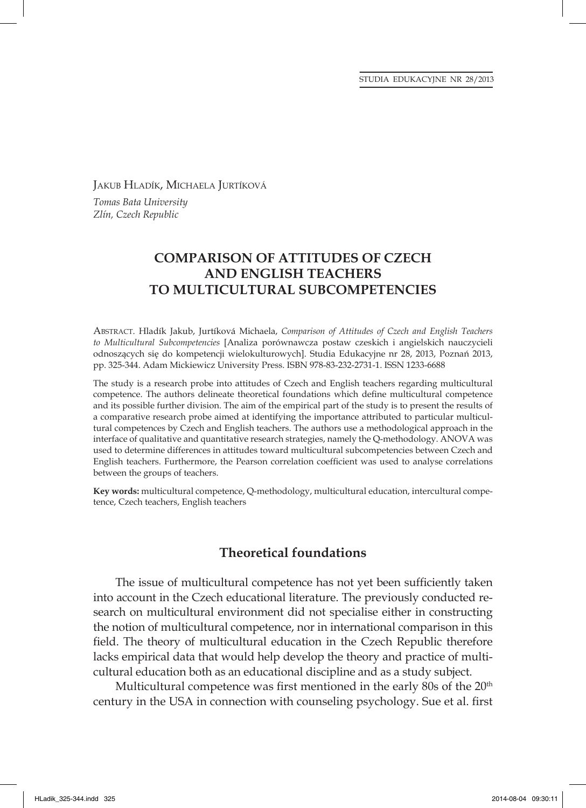JAKUB HLADÍK, MICHAELA JURTÍKOVÁ *Tomas Bata University Zlín, Czech Republic*

# **COMPARISON OF ATTITUDES OF CZECH AND ENGLISH TEACHERS TO MULTICULTURAL SUBCOMPETENCIES**

ABSTRACT. Hladík Jakub, Jurtíková Michaela, *Comparison of Attitudes of Czech and English Teachers to Multicultural Subcompetencies* [Analiza porównawcza postaw czeskich i angielskich nauczycieli odnoszących się do kompetencji wielokulturowych]. Studia Edukacyjne nr 28, 2013, Poznań 2013, pp. 325-344. Adam Mickiewicz University Press. ISBN 978-83-232-2731-1. ISSN 1233-6688

The study is a research probe into attitudes of Czech and English teachers regarding multicultural competence. The authors delineate theoretical foundations which define multicultural competence and its possible further division. The aim of the empirical part of the study is to present the results of a comparative research probe aimed at identifying the importance attributed to particular multicultural competences by Czech and English teachers. The authors use a methodological approach in the interface of qualitative and quantitative research strategies, namely the Q-methodology. ANOVA was used to determine differences in attitudes toward multicultural subcompetencies between Czech and English teachers. Furthermore, the Pearson correlation coefficient was used to analyse correlations between the groups of teachers.

**Key words:** multicultural competence, Q-methodology, multicultural education, intercultural competence, Czech teachers, English teachers

## **Theoretical foundations**

The issue of multicultural competence has not yet been sufficiently taken into account in the Czech educational literature. The previously conducted research on multicultural environment did not specialise either in constructing the notion of multicultural competence, nor in international comparison in this field. The theory of multicultural education in the Czech Republic therefore lacks empirical data that would help develop the theory and practice of multicultural education both as an educational discipline and as a study subject.

Multicultural competence was first mentioned in the early 80s of the  $20<sup>th</sup>$ century in the USA in connection with counseling psychology. Sue et al. first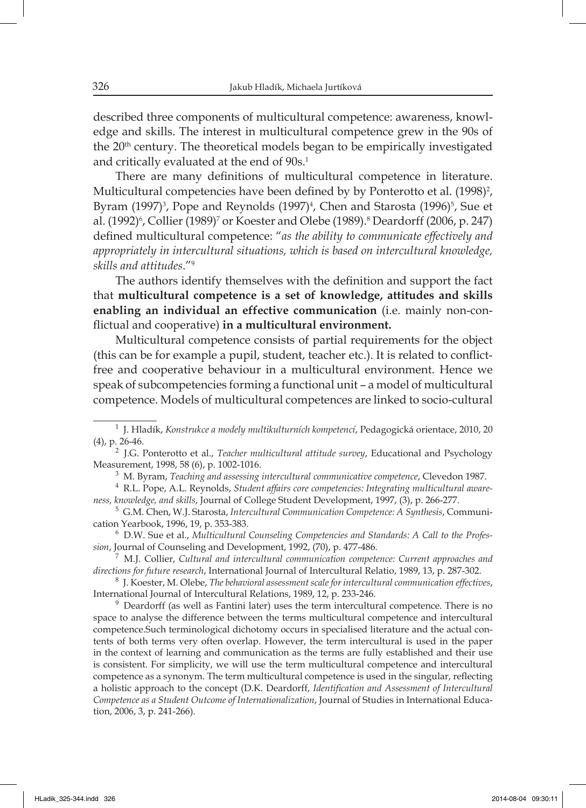described three components of multicultural competence: awareness, knowledge and skills. The interest in multicultural competence grew in the 90s of the 20<sup>th</sup> century. The theoretical models began to be empirically investigated and critically evaluated at the end of 90s.<sup>1</sup>

There are many definitions of multicultural competence in literature. Multicultural competencies have been defined by by Ponterotto et al. (1998)<sup>2</sup>, Byram (1997)<sup>3</sup>, Pope and Reynolds (1997)<sup>4</sup>, Chen and Starosta (1996)<sup>5</sup>, Sue et al. (1992)<sup>6</sup>, Collier (1989)<sup>7</sup> or Koester and Olebe (1989).<sup>8</sup> Deardorff (2006, p. 247) defined multicultural competence: "as the ability to communicate effectively and *appropriately in intercultural situations, which is based on intercultural knowledge, skills and attitudes*."<sup>9</sup>

The authors identify themselves with the definition and support the fact that **multicultural competence is a set of knowledge, attitudes and skills enabling an individual an effective communication** (i.e. mainly non-conflictual and cooperative) in a multicultural environment.

Multicultural competence consists of partial requirements for the object (this can be for example a pupil, student, teacher etc.). It is related to conflictfree and cooperative behaviour in a multicultural environment. Hence we speak of subcompetencies forming a functional unit – a model of multicultural competence. Models of multicultural competences are linked to socio-cultural

3 M. Byram, *Teaching and assessing intercultural communicative competence*, Clevedon 1987.

4 R.L. Pope, A.L. Reynolds, *Student affairs core competencies: Integrating multicultural awareness, knowledge, and skills*, Journal of College Student Development, 1997, (3), p. 266-277.

<sup>7</sup>M.J. Collier, *Cultural and intercultural communication competence: Current approaches and directions for future research*, International Journal of Intercultural Relatio, 1989, 13, p. 287-302.

<sup>8</sup>J. Koester, M. Olebe, *The behavioral assessment scale for intercultural communication effectives*, International Journal of Intercultural Relations, 1989, 12, p. 233-246.

<sup>9</sup> Deardorff (as well as Fantini later) uses the term intercultural competence. There is no space to analyse the difference between the terms multicultural competence and intercultural competence.Such terminological dichotomy occurs in specialised literature and the actual contents of both terms very often overlap. However, the term intercultural is used in the paper in the context of learning and communication as the terms are fully established and their use is consistent. For simplicity, we will use the term multicultural competence and intercultural competence as a synonym. The term multicultural competence is used in the singular, reflecting a holistic approach to the concept (D.K. Deardorff, *Identification and Assessment of Intercultural Competence as a Student Outcome of Internationalization*, Journal of Studies in International Education, 2006, 3, p. 241-266).

<sup>1</sup> J. Hladík, *Konstrukce a modely multikulturních kompetencí*, Pedagogická orientace, 2010, 20 (4), p. 26-46.

<sup>&</sup>lt;sup>2</sup> J.G. Ponterotto et al., *Teacher multicultural attitude survey*, Educational and Psychology Measurement, 1998, 58 (6), p. 1002-1016.

<sup>5</sup> G.M. Chen, W.J. Starosta, *Intercultural Communication Competence: A Synthesis*, Communication Yearbook, 1996, 19, p. 353-383.

<sup>&</sup>lt;sup>6</sup> D.W. Sue et al., Multicultural Counseling Competencies and Standards: A Call to the Profes*sion*, Journal of Counseling and Development, 1992, (70), p. 477-486.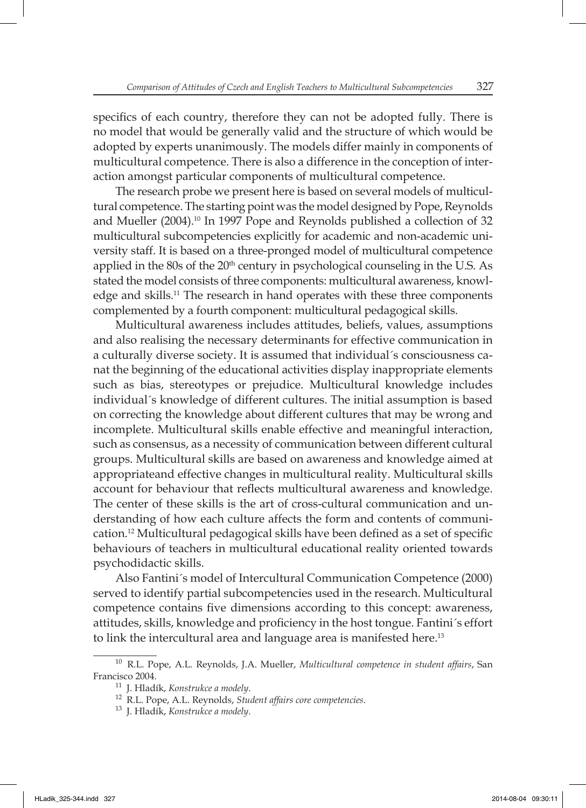specifics of each country, therefore they can not be adopted fully. There is no model that would be generally valid and the structure of which would be adopted by experts unanimously. The models differ mainly in components of multicultural competence. There is also a difference in the conception of interaction amongst particular components of multicultural competence.

The research probe we present here is based on several models of multicultural competence. The starting point was the model designed by Pope, Reynolds and Mueller (2004).<sup>10</sup> In 1997 Pope and Reynolds published a collection of 32 multicultural subcompetencies explicitly for academic and non-academic university staff. It is based on a three-pronged model of multicultural competence applied in the 80s of the  $20<sup>th</sup>$  century in psychological counseling in the U.S. As stated the model consists of three components: multicultural awareness, knowledge and skills.11 The research in hand operates with these three components complemented by a fourth component: multicultural pedagogical skills.

Multicultural awareness includes attitudes, beliefs, values, assumptions and also realising the necessary determinants for effective communication in a culturally diverse society. It is assumed that individual´s consciousness canat the beginning of the educational activities display inappropriate elements such as bias, stereotypes or prejudice. Multicultural knowledge includes individual´s knowledge of different cultures. The initial assumption is based on correcting the knowledge about different cultures that may be wrong and incomplete. Multicultural skills enable effective and meaningful interaction, such as consensus, as a necessity of communication between different cultural groups. Multicultural skills are based on awareness and knowledge aimed at appropriateand effective changes in multicultural reality. Multicultural skills account for behaviour that reflects multicultural awareness and knowledge. The center of these skills is the art of cross-cultural communication and understanding of how each culture affects the form and contents of communication.<sup>12</sup> Multicultural pedagogical skills have been defined as a set of specific behaviours of teachers in multicultural educational reality oriented towards psychodidactic skills.

Also Fantini´s model of Intercultural Communication Competence (2000) served to identify partial subcompetencies used in the research. Multicultural competence contains five dimensions according to this concept: awareness, attitudes, skills, knowledge and proficiency in the host tongue. Fantini´s effort to link the intercultural area and language area is manifested here.<sup>13</sup>

<sup>&</sup>lt;sup>10</sup> R.L. Pope, A.L. Reynolds, J.A. Mueller, *Multicultural competence in student affairs*, San Francisco 2004.

<sup>11</sup> J. Hladík, *Konstrukce a modely*.

<sup>12</sup>R.L. Pope, A.L. Reynolds, *Student affairs core competencies*.

<sup>13</sup> J. Hladík, *Konstrukce a modely*.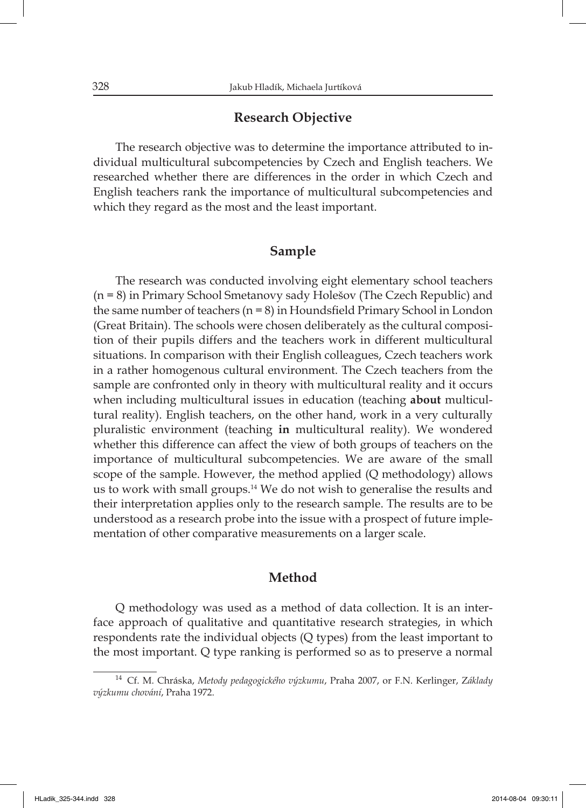### **Research Objective**

The research objective was to determine the importance attributed to individual multicultural subcompetencies by Czech and English teachers. We researched whether there are differences in the order in which Czech and English teachers rank the importance of multicultural subcompetencies and which they regard as the most and the least important.

## **Sample**

The research was conducted involving eight elementary school teachers (n = 8) in Primary School Smetanovy sady Holešov (The Czech Republic) and the same number of teachers  $(n = 8)$  in Houndsfield Primary School in London (Great Britain). The schools were chosen deliberately as the cultural composition of their pupils differs and the teachers work in different multicultural situations. In comparison with their English colleagues, Czech teachers work in a rather homogenous cultural environment. The Czech teachers from the sample are confronted only in theory with multicultural reality and it occurs when including multicultural issues in education (teaching **about** multicultural reality). English teachers, on the other hand, work in a very culturally pluralistic environment (teaching **in** multicultural reality). We wondered whether this difference can affect the view of both groups of teachers on the importance of multicultural subcompetencies. We are aware of the small scope of the sample. However, the method applied (Q methodology) allows us to work with small groups.<sup>14</sup> We do not wish to generalise the results and their interpretation applies only to the research sample. The results are to be understood as a research probe into the issue with a prospect of future implementation of other comparative measurements on a larger scale.

#### **Method**

Q methodology was used as a method of data collection. It is an interface approach of qualitative and quantitative research strategies, in which respondents rate the individual objects (Q types) from the least important to the most important. Q type ranking is performed so as to preserve a normal

<sup>14</sup> Cf. M. Chráska, *Metody pedagogického výzkumu*, Praha 2007, or F.N. Kerlinger, Z*áklady výzkumu chování*, Praha 1972.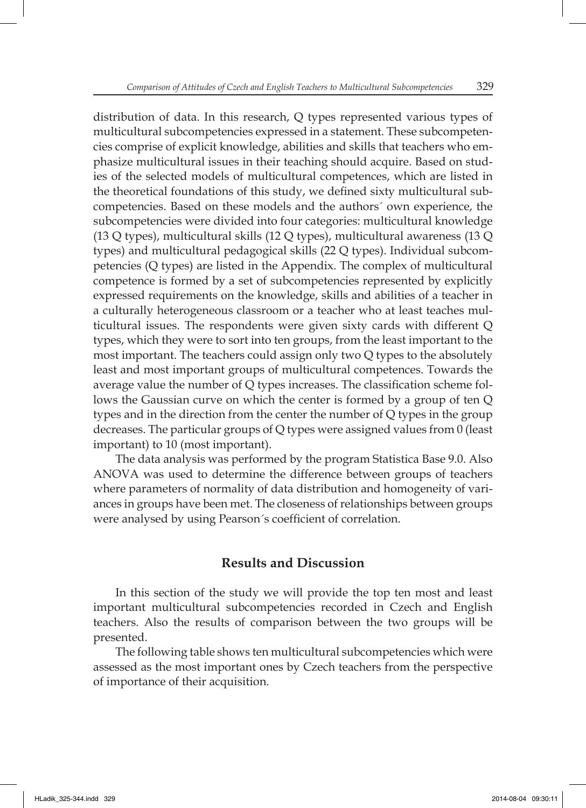distribution of data. In this research, Q types represented various types of multicultural subcompetencies expressed in a statement. These subcompetencies comprise of explicit knowledge, abilities and skills that teachers who emphasize multicultural issues in their teaching should acquire. Based on studies of the selected models of multicultural competences, which are listed in the theoretical foundations of this study, we defined sixty multicultural subcompetencies. Based on these models and the authors´ own experience, the subcompetencies were divided into four categories: multicultural knowledge (13 Q types), multicultural skills (12 Q types), multicultural awareness (13 Q types) and multicultural pedagogical skills (22 Q types). Individual subcompetencies (Q types) are listed in the Appendix. The complex of multicultural competence is formed by a set of subcompetencies represented by explicitly expressed requirements on the knowledge, skills and abilities of a teacher in a culturally heterogeneous classroom or a teacher who at least teaches multicultural issues. The respondents were given sixty cards with different Q types, which they were to sort into ten groups, from the least important to the most important. The teachers could assign only two Q types to the absolutely least and most important groups of multicultural competences. Towards the average value the number of  $Q$  types increases. The classification scheme follows the Gaussian curve on which the center is formed by a group of ten Q types and in the direction from the center the number of Q types in the group decreases. The particular groups of Q types were assigned values from 0 (least important) to 10 (most important).

The data analysis was performed by the program Statistica Base 9.0. Also ANOVA was used to determine the difference between groups of teachers where parameters of normality of data distribution and homogeneity of variances in groups have been met. The closeness of relationships between groups were analysed by using Pearson´s coefficient of correlation.

# **Results and Discussion**

In this section of the study we will provide the top ten most and least important multicultural subcompetencies recorded in Czech and English teachers. Also the results of comparison between the two groups will be presented.

The following table shows ten multicultural subcompetencies which were assessed as the most important ones by Czech teachers from the perspective of importance of their acquisition.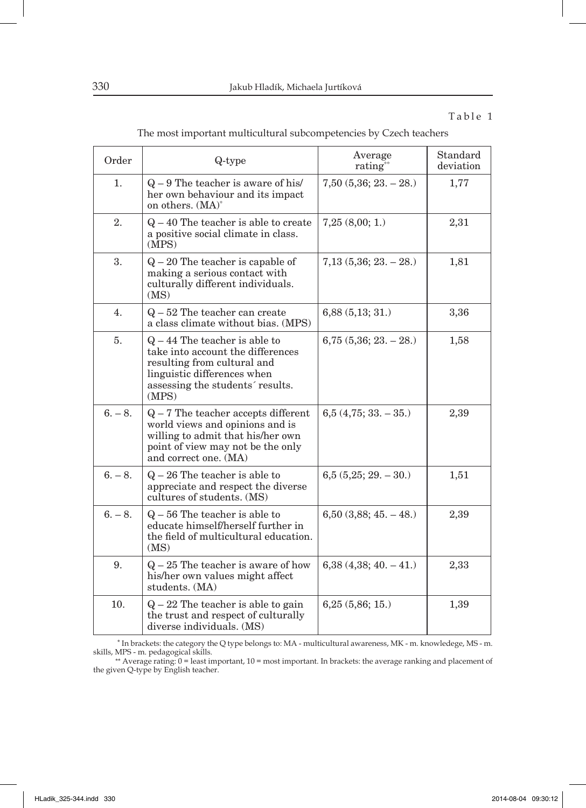#### Table 1

| The most important multicultural subcompetencies by Czech teachers |  |
|--------------------------------------------------------------------|--|
|--------------------------------------------------------------------|--|

| Order     | Q-type                                                                                                                                                                          | Average<br>rating <sup>**</sup> | Standard<br>deviation |
|-----------|---------------------------------------------------------------------------------------------------------------------------------------------------------------------------------|---------------------------------|-----------------------|
| 1.        | $Q - 9$ The teacher is aware of his/<br>her own behaviour and its impact<br>on others. (MA) <sup>*</sup>                                                                        | $7,50$ $(5,36; 23. - 28.)$      | 1,77                  |
| 2.        | $Q - 40$ The teacher is able to create<br>a positive social climate in class.<br>(MPS)                                                                                          | 7,25(8,00;1)                    | 2,31                  |
| 3.        | $Q - 20$ The teacher is capable of<br>making a serious contact with<br>culturally different individuals.<br>(MS)                                                                | $7,13$ $(5,36; 23. - 28.)$      | 1,81                  |
| 4.        | $Q - 52$ The teacher can create<br>a class climate without bias. (MPS)                                                                                                          | 6,88(5,13;31.)                  | 3,36                  |
| 5.        | $Q - 44$ The teacher is able to<br>take into account the differences<br>resulting from cultural and<br>linguistic differences when<br>assessing the students' results.<br>(MPS) | $6,75$ $(5,36; 23. - 28.)$      | 1,58                  |
| $6. - 8.$ | $Q - 7$ The teacher accepts different<br>world views and opinions and is<br>willing to admit that his/her own<br>point of view may not be the only<br>and correct one. (MA)     | $6,5(4,75;33,-35.)$             | 2,39                  |
| $6. - 8.$ | $Q - 26$ The teacher is able to<br>appreciate and respect the diverse<br>cultures of students. (MS)                                                                             | $6,5(5,25; 29. - 30.)$          | 1,51                  |
| $6. - 8.$ | $Q - 56$ The teacher is able to<br>educate himself/herself further in<br>the field of multicultural education.<br>(MS)                                                          | $6,50$ $(3,88; 45. - 48.)$      | 2,39                  |
| 9.        | $Q - 25$ The teacher is aware of how<br>his/her own values might affect<br>students. (MA)                                                                                       | $6,38$ $(4,38; 40, -41)$        | 2,33                  |
| 10.       | $Q - 22$ The teacher is able to gain<br>the trust and respect of culturally<br>diverse individuals. (MS)                                                                        | 6,25(5,86;15.)                  | 1,39                  |

 \* In brackets: the category the Q type belongs to: MA - multicultural awareness, MK - m. knowledege, MS - m. skills, MPS - m. pedagogical skills. \*\* Average rating: 0 = least important, 10 = most important. In brackets: the average ranking and placement of

the given Q-type by English teacher.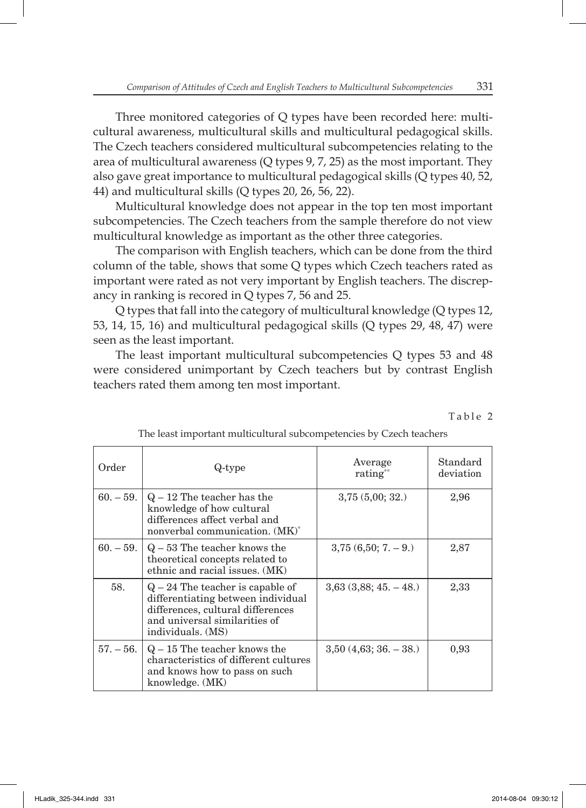Three monitored categories of Q types have been recorded here: multicultural awareness, multicultural skills and multicultural pedagogical skills. The Czech teachers considered multicultural subcompetencies relating to the area of multicultural awareness (Q types 9, 7, 25) as the most important. They also gave great importance to multicultural pedagogical skills (Q types 40, 52, 44) and multicultural skills (Q types 20, 26, 56, 22).

Multicultural knowledge does not appear in the top ten most important subcompetencies. The Czech teachers from the sample therefore do not view multicultural knowledge as important as the other three categories.

The comparison with English teachers, which can be done from the third column of the table, shows that some Q types which Czech teachers rated as important were rated as not very important by English teachers. The discrepancy in ranking is recored in Q types 7, 56 and 25.

Q types that fall into the category of multicultural knowledge (Q types 12, 53, 14, 15, 16) and multicultural pedagogical skills (Q types 29, 48, 47) were seen as the least important.

The least important multicultural subcompetencies Q types 53 and 48 were considered unimportant by Czech teachers but by contrast English teachers rated them among ten most important.

Table 2

| Order       | Q-type                                                                                                                                                              | Average<br>rating <sup>**</sup> | Standard<br>deviation |
|-------------|---------------------------------------------------------------------------------------------------------------------------------------------------------------------|---------------------------------|-----------------------|
| $60. - 59.$ | $Q - 12$ The teacher has the<br>knowledge of how cultural<br>differences affect verbal and<br>nonverbal communication. (MK)*                                        | 3,75(5,00;32.)                  | 2,96                  |
| $60. - 59.$ | $Q - 53$ The teacher knows the<br>theoretical concepts related to<br>ethnic and racial issues. (MK)                                                                 | $3,75(6,50; 7, -9)$             | 2,87                  |
| 58.         | $Q - 24$ The teacher is capable of<br>differentiating between individual<br>differences, cultural differences<br>and universal similarities of<br>individuals. (MS) | $3,63$ $(3,88; 45. - 48.)$      | 2,33                  |
| $57. - 56.$ | $Q - 15$ The teacher knows the<br>characteristics of different cultures<br>and knows how to pass on such<br>knowledge. (MK)                                         | $3,50$ $(4,63; 36. - 38.)$      | 0,93                  |

The least important multicultural subcompetencies by Czech teachers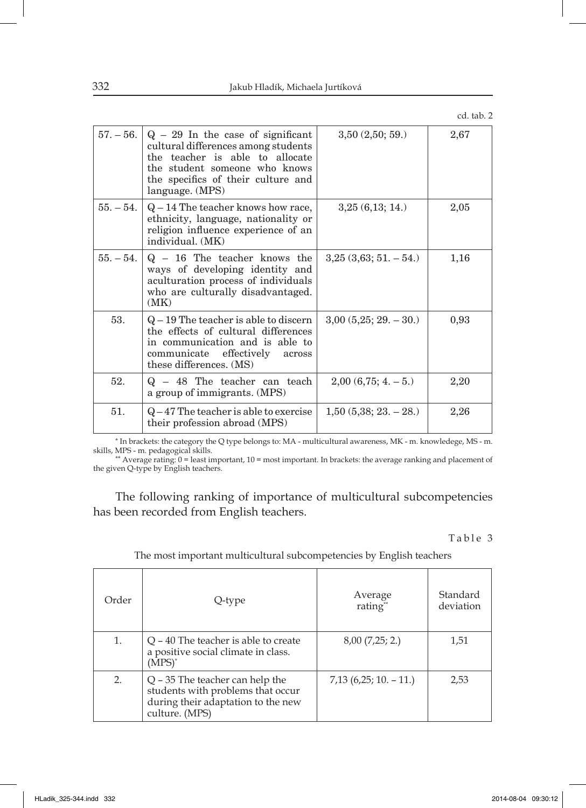| а<br>ш |  |
|--------|--|
|        |  |

| $57. - 56.$ | $Q - 29$ In the case of significant<br>cultural differences among students<br>the teacher is able to allocate<br>the student someone who knows<br>the specifics of their culture and<br>language. (MPS) | 3,50(2,50;59)              | 2,67 |
|-------------|---------------------------------------------------------------------------------------------------------------------------------------------------------------------------------------------------------|----------------------------|------|
| $55. - 54.$ | $Q-14$ The teacher knows how race,<br>ethnicity, language, nationality or<br>religion influence experience of an<br>individual. (MK)                                                                    | 3,25(6,13;14.)             | 2,05 |
| $55. - 54.$ | $Q - 16$ The teacher knows the<br>ways of developing identity and<br>aculturation process of individuals<br>who are culturally disadvantaged.<br>(MK)                                                   | $3,25$ $(3,63; 51, -54)$   | 1,16 |
| 53.         | $Q-19$ The teacher is able to discern<br>the effects of cultural differences<br>in communication and is able to<br>communicate effectively across<br>these differences. (MS)                            | $3,00(5,25; 29. - 30.)$    | 0,93 |
| 52.         | $Q - 48$ The teacher can teach<br>a group of immigrants. (MPS)                                                                                                                                          | $2,00(6,75; 4, -5)$        | 2,20 |
| 51.         | $Q-47$ The teacher is able to exercise<br>their profession abroad (MPS)                                                                                                                                 | $1,50$ $(5,38; 23. - 28.)$ | 2,26 |

\* In brackets: the category the Q type belongs to: MA - multicultural awareness, MK - m. knowledege, MS - m.

skills, MPS - m. pedagogical skills.<br>\*\* Average rating: 0 = least important, 10 = most important. In brackets: the average ranking and placement of the given Q-type by English teachers.

The following ranking of importance of multicultural subcompetencies has been recorded from English teachers.

Table 3

| Order | Q-type                                                                                                                         | Average<br>rating"       | Standard<br>deviation |
|-------|--------------------------------------------------------------------------------------------------------------------------------|--------------------------|-----------------------|
| 1.    | $Q - 40$ The teacher is able to create<br>a positive social climate in class.<br>$(MPS)^*$                                     | 8,00(7,25; 2.)           | 1,51                  |
| 2.    | $Q - 35$ The teacher can help the<br>students with problems that occur<br>during their adaptation to the new<br>culture. (MPS) | $7,13$ (6,25; 10. – 11.) | 2.53                  |

The most important multicultural subcompetencies by English teachers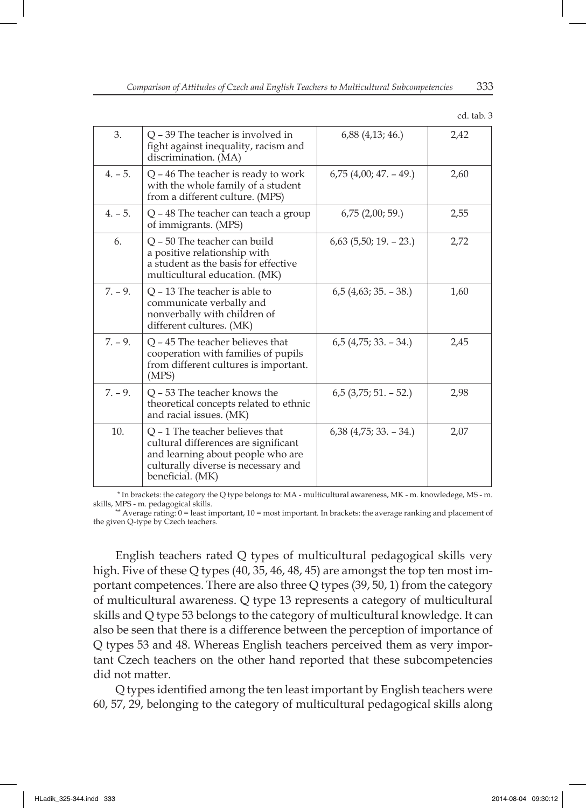| cd. tab. 3 |
|------------|
|            |

| 3.        | Q – 39 The teacher is involved in<br>fight against inequality, racism and<br>discrimination. (MA)                                                                         | $6,88$ $(4,13; 46.)$       | 2,42 |
|-----------|---------------------------------------------------------------------------------------------------------------------------------------------------------------------------|----------------------------|------|
| $4. - 5.$ | $Q - 46$ The teacher is ready to work<br>with the whole family of a student<br>from a different culture. (MPS)                                                            | $6,75$ $(4,00; 47, -49)$   | 2,60 |
| $4. - 5.$ | $Q - 48$ The teacher can teach a group<br>of immigrants. (MPS)                                                                                                            | $6,75$ $(2,00; 59)$        | 2,55 |
| 6.        | Q - 50 The teacher can build<br>a positive relationship with<br>a student as the basis for effective<br>multicultural education. (MK)                                     | $6,63$ $(5,50; 19. - 23.)$ | 2,72 |
| $7. - 9.$ | $Q - 13$ The teacher is able to<br>communicate verbally and<br>nonverbally with children of<br>different cultures. (MK)                                                   | $6,5$ (4,63; 35. – 38.)    | 1,60 |
| $7. - 9.$ | $Q - 45$ The teacher believes that<br>cooperation with families of pupils<br>from different cultures is important.<br>(MPS)                                               | $6,5$ (4,75; 33. – 34.)    | 2,45 |
| $7. - 9.$ | O - 53 The teacher knows the<br>theoretical concepts related to ethnic<br>and racial issues. (MK)                                                                         | $6,5$ (3,75; 51. – 52.)    | 2,98 |
| 10.       | $Q - 1$ The teacher believes that<br>cultural differences are significant<br>and learning about people who are<br>culturally diverse is necessary and<br>beneficial. (MK) | $6,38$ (4,75; 33. – 34.)   | 2,07 |

 \* In brackets: the category the Q type belongs to: MA - multicultural awareness, MK - m. knowledege, MS - m. skills, MPS - m. pedagogical skills.

\*\* Average rating:  $0 =$  least important,  $10 =$  most important. In brackets: the average ranking and placement of the given Q-type by Czech teachers.

English teachers rated Q types of multicultural pedagogical skills very high. Five of these Q types (40, 35, 46, 48, 45) are amongst the top ten most important competences. There are also three Q types (39, 50, 1) from the category of multicultural awareness. Q type 13 represents a category of multicultural skills and Q type 53 belongs to the category of multicultural knowledge. It can also be seen that there is a difference between the perception of importance of Q types 53 and 48. Whereas English teachers perceived them as very important Czech teachers on the other hand reported that these subcompetencies did not matter.

Q types identified among the ten least important by English teachers were 60, 57, 29, belonging to the category of multicultural pedagogical skills along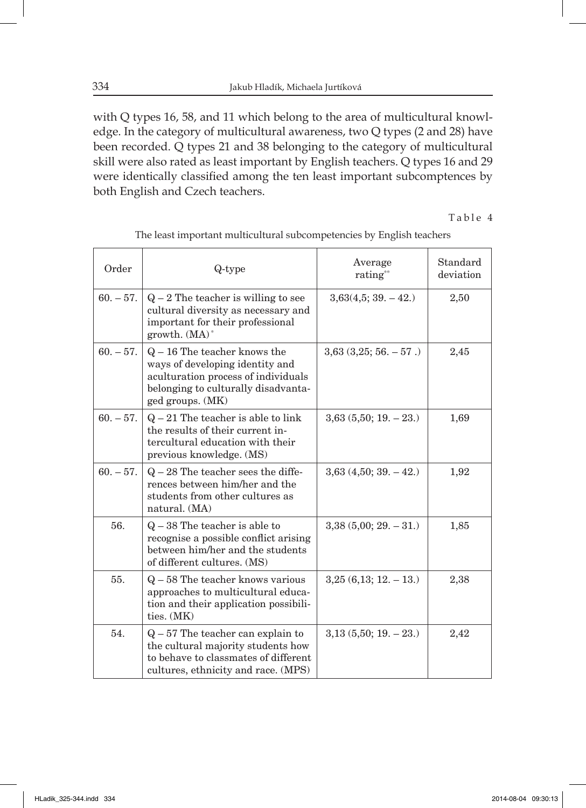with Q types 16, 58, and 11 which belong to the area of multicultural knowledge. In the category of multicultural awareness, two Q types (2 and 28) have been recorded. Q types 21 and 38 belonging to the category of multicultural skill were also rated as least important by English teachers. Q types 16 and 29 were identically classified among the ten least important subcomptences by both English and Czech teachers.

Table 4

| Order       | Q-type                                                                                                                                                              | Average<br>rating**        | Standard<br>deviation |
|-------------|---------------------------------------------------------------------------------------------------------------------------------------------------------------------|----------------------------|-----------------------|
| $60. - 57.$ | $Q - 2$ The teacher is willing to see<br>cultural diversity as necessary and<br>important for their professional<br>growth. $(MA)^*$                                | $3,63(4,5;39. -42.)$       | 2,50                  |
| $60. - 57.$ | $Q - 16$ The teacher knows the<br>ways of developing identity and<br>aculturation process of individuals<br>belonging to culturally disadvanta-<br>ged groups. (MK) | $3,63$ $(3,25; 56. - 57.)$ | 2,45                  |
| $60. - 57.$ | $Q - 21$ The teacher is able to link<br>the results of their current in-<br>tercultural education with their<br>previous knowledge. (MS)                            | $3,63$ $(5,50; 19. - 23.)$ | 1,69                  |
| $60. - 57.$ | $Q - 28$ The teacher sees the diffe-<br>rences between him/her and the<br>students from other cultures as<br>natural. (MA)                                          | $3,63$ $(4,50; 39. - 42.)$ | 1,92                  |
| 56.         | $Q - 38$ The teacher is able to<br>recognise a possible conflict arising<br>between him/her and the students<br>of different cultures. (MS)                         | $3,38(5,00; 29. -31.)$     | 1,85                  |
| 55.         | $Q - 58$ The teacher knows various<br>approaches to multicultural educa-<br>tion and their application possibili-<br>ties. (MK)                                     | $3,25(6,13; 12, -13)$      | 2,38                  |
| 54.         | $Q - 57$ The teacher can explain to<br>the cultural majority students how<br>to behave to classmates of different<br>cultures, ethnicity and race. (MPS)            | $3,13$ $(5,50; 19. - 23.)$ | 2,42                  |

The least important multicultural subcompetencies by English teachers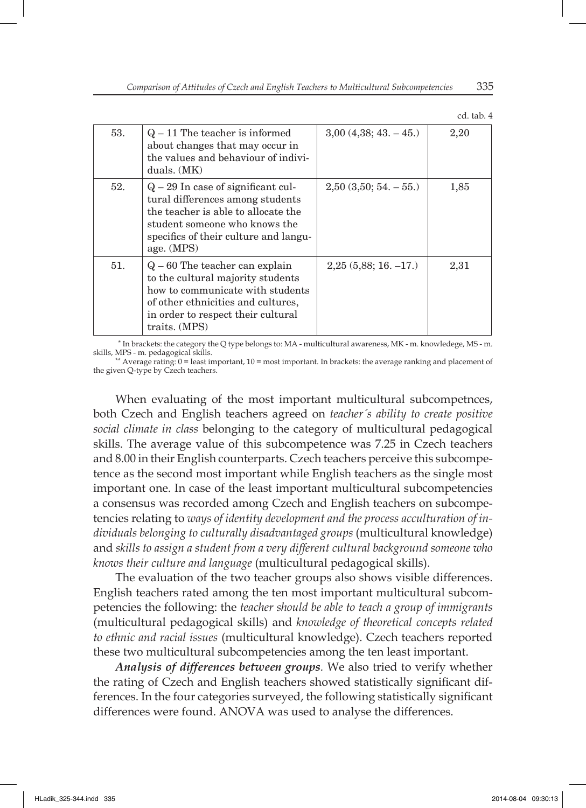| ca | tab. | 4 |
|----|------|---|

| 53. | $Q - 11$ The teacher is informed<br>about changes that may occur in<br>the values and behaviour of indivi-<br>duals. (MK)                                                                               | $3,00$ $(4,38; 43, -45)$   | 2,20 |
|-----|---------------------------------------------------------------------------------------------------------------------------------------------------------------------------------------------------------|----------------------------|------|
| 52. | $Q - 29$ In case of significant cul-<br>tural differences among students<br>the teacher is able to allocate the<br>student someone who knows the<br>specifics of their culture and langu-<br>age. (MPS) | $2,50$ $(3,50; 54. - 55.)$ | 1,85 |
| 51. | $Q - 60$ The teacher can explain<br>to the cultural majority students<br>how to communicate with students<br>of other ethnicities and cultures.<br>in order to respect their cultural<br>traits. (MPS)  | $2,25(5,88; 16, -17)$      | 2,31 |

 \* In brackets: the category the Q type belongs to: MA - multicultural awareness, MK - m. knowledege, MS - m. skills, MPS - m. pedagogical skills.

\*\* Average rating: 0 = least important, 10 = most important. In brackets: the average ranking and placement of the given Q-type by Czech teachers.

When evaluating of the most important multicultural subcompetnces, both Czech and English teachers agreed on *teacher´s ability to create positive social climate in class* belonging to the category of multicultural pedagogical skills. The average value of this subcompetence was 7.25 in Czech teachers and 8.00 in their English counterparts. Czech teachers perceive this subcompetence as the second most important while English teachers as the single most important one. In case of the least important multicultural subcompetencies a consensus was recorded among Czech and English teachers on subcompetencies relating to *ways of identity development and the process acculturation of individuals belonging to culturally disadvantaged groups* (multicultural knowledge) and *skills to assign a student from a very different cultural background someone who knows their culture and language* (multicultural pedagogical skills).

The evaluation of the two teacher groups also shows visible differences. English teachers rated among the ten most important multicultural subcompetencies the following: the *teacher should be able to teach a group of immigrants* (multicultural pedagogical skills) and *knowledge of theoretical concepts related to ethnic and racial issues* (multicultural knowledge). Czech teachers reported these two multicultural subcompetencies among the ten least important.

*Analysis of differences between groups.* We also tried to verify whether the rating of Czech and English teachers showed statistically significant differences. In the four categories surveyed, the following statistically significant differences were found. ANOVA was used to analyse the differences.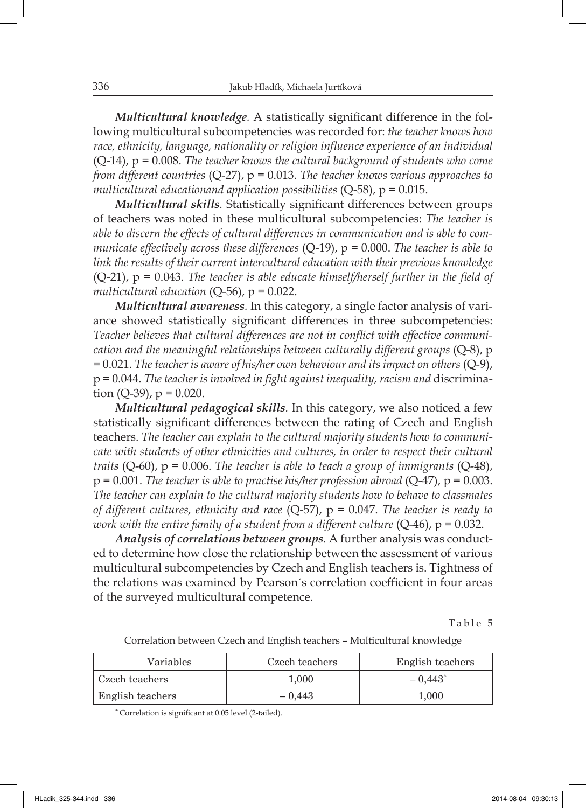*Multicultural knowledge*. A statistically significant difference in the following multicultural subcompetencies was recorded for: *the teacher knows how*  race, ethnicity, language, nationality or religion influence experience of an individual (Q-14), p = 0.008. *The teacher knows the cultural background of students who come from different countries* (Q-27), p = 0.013. *The teacher knows various approaches to multicultural educationand application possibilities* (Q-58), p = 0.015.

*Multicultural skills.* Statistically significant differences between groups of teachers was noted in these multicultural subcompetencies: *The teacher is able to discern the effects of cultural differences in communication and is able to communicate effectively across these differences* (Q-19), p = 0.000. *The teacher is able to link the results of their current intercultural education with their previous knowledge*   $(Q-21)$ ,  $p = 0.043$ . The teacher is able educate himself/herself further in the field of multicultural education  $(Q-56)$ ,  $p = 0.022$ .

*Multicultural awareness.* In this category, a single factor analysis of variance showed statistically significant differences in three subcompetencies: Teacher believes that cultural differences are not in conflict with effective communi*cation and the meaningful relationships between culturally different groups* (Q-8), p = 0.021. *The teacher is aware of his/her own behaviour and its impact on others* (Q-9), p = 0.044. *The teacher is involved in fi ght against inequality, racism and* discrimination  $(Q-39)$ ,  $p = 0.020$ .

*Multicultural pedagogical skills.* In this category, we also noticed a few statistically significant differences between the rating of Czech and English teachers. *The teacher can explain to the cultural majority students how to communicate with students of other ethnicities and cultures, in order to respect their cultural traits* (Q-60), p = 0.006. *The teacher is able to teach a group of immigrants* (Q-48), p = 0.001. *The teacher is able to practise his/her profession abroad* (Q-47), p = 0.003. *The teacher can explain to the cultural majority students how to behave to classmates of different cultures, ethnicity and race* (Q-57), p = 0.047. *The teacher is ready to work with the entire family of a student from a different culture (* $Q$ *-46), p* = 0.032.

*Analysis of correlations between groups.* A further analysis was conducted to determine how close the relationship between the assessment of various multicultural subcompetencies by Czech and English teachers is. Tightness of the relations was examined by Pearson's correlation coefficient in four areas of the surveyed multicultural competence.

Table 5

| Variables        | Czech teachers | English teachers |
|------------------|----------------|------------------|
| Czech teachers   | 1.000          | $-0.443$         |
| English teachers | $-0.443$       | 1.000            |

Correlation between Czech and English teachers – Multicultural knowledge

\* Correlation is signifi cant at 0.05 level (2-tailed).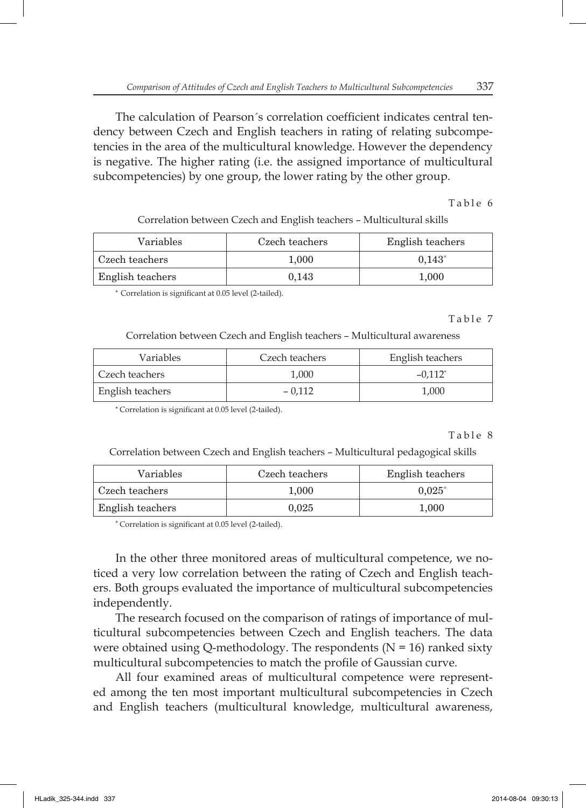The calculation of Pearson´s correlation coefficient indicates central tendency between Czech and English teachers in rating of relating subcompetencies in the area of the multicultural knowledge. However the dependency is negative. The higher rating (i.e. the assigned importance of multicultural subcompetencies) by one group, the lower rating by the other group.

Table 6

Correlation between Czech and English teachers – Multicultural skills

| <b>Variables</b> | Czech teachers | English teachers |
|------------------|----------------|------------------|
| Czech teachers   | 1.000          | $0.143*$         |
| English teachers | 0.143          | 1.000            |

\* Correlation is significant at 0.05 level (2-tailed).

Table 7

Correlation between Czech and English teachers – Multicultural awareness

| Variables        | Czech teachers | English teachers      |  |
|------------------|----------------|-----------------------|--|
| Czech teachers   | 1.000          | $-0.112$ <sup>*</sup> |  |
| English teachers | $-0.112$       | 1.000                 |  |

\* Correlation is signifi cant at 0.05 level (2-tailed).

Table 8

Correlation between Czech and English teachers – Multicultural pedagogical skills

| Variables        | Czech teachers | English teachers |
|------------------|----------------|------------------|
| Czech teachers   | 1.000          | $0.025*$         |
| English teachers | 0.025          | 1.000            |

\* Correlation is significant at 0.05 level (2-tailed).

In the other three monitored areas of multicultural competence, we noticed a very low correlation between the rating of Czech and English teachers. Both groups evaluated the importance of multicultural subcompetencies independently.

The research focused on the comparison of ratings of importance of multicultural subcompetencies between Czech and English teachers. The data were obtained using Q-methodology. The respondents  $(N = 16)$  ranked sixty multicultural subcompetencies to match the profile of Gaussian curve.

All four examined areas of multicultural competence were represented among the ten most important multicultural subcompetencies in Czech and English teachers (multicultural knowledge, multicultural awareness,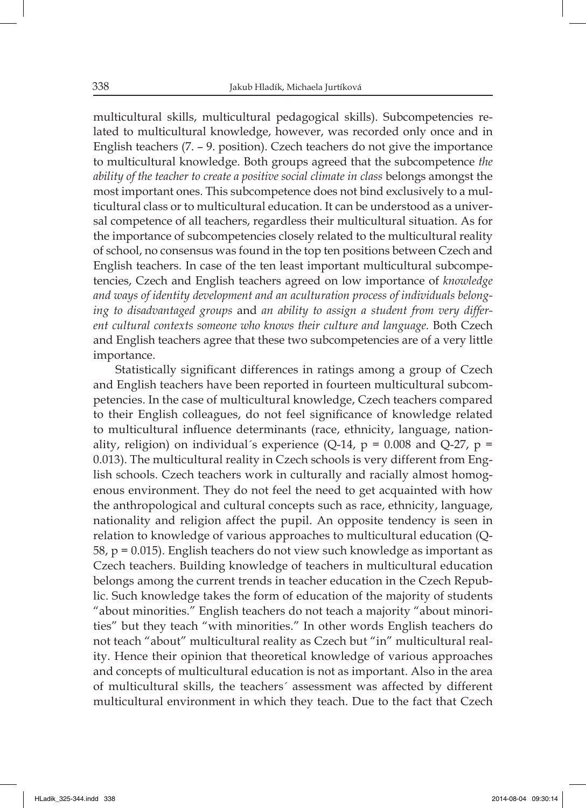multicultural skills, multicultural pedagogical skills). Subcompetencies related to multicultural knowledge, however, was recorded only once and in English teachers (7. – 9. position). Czech teachers do not give the importance to multicultural knowledge. Both groups agreed that the subcompetence *the ability of the teacher to create a positive social climate in class* belongs amongst the most important ones. This subcompetence does not bind exclusively to a multicultural class or to multicultural education. It can be understood as a universal competence of all teachers, regardless their multicultural situation. As for the importance of subcompetencies closely related to the multicultural reality of school, no consensus was found in the top ten positions between Czech and English teachers. In case of the ten least important multicultural subcompetencies, Czech and English teachers agreed on low importance of *knowledge and ways of identity development and an aculturation process of individuals belonging to disadvantaged groups* and *an ability to assign a student from very different cultural contexts someone who knows their culture and language.* Both Czech and English teachers agree that these two subcompetencies are of a very little importance.

Statistically significant differences in ratings among a group of Czech and English teachers have been reported in fourteen multicultural subcompetencies. In the case of multicultural knowledge, Czech teachers compared to their English colleagues, do not feel significance of knowledge related to multicultural influence determinants (race, ethnicity, language, nationality, religion) on individual's experience (Q-14,  $p = 0.008$  and Q-27,  $p =$ 0.013). The multicultural reality in Czech schools is very different from English schools. Czech teachers work in culturally and racially almost homogenous environment. They do not feel the need to get acquainted with how the anthropological and cultural concepts such as race, ethnicity, language, nationality and religion affect the pupil. An opposite tendency is seen in relation to knowledge of various approaches to multicultural education (Q-58, p = 0.015). English teachers do not view such knowledge as important as Czech teachers. Building knowledge of teachers in multicultural education belongs among the current trends in teacher education in the Czech Republic. Such knowledge takes the form of education of the majority of students "about minorities." English teachers do not teach a majority "about minorities" but they teach "with minorities." In other words English teachers do not teach "about" multicultural reality as Czech but "in" multicultural reality. Hence their opinion that theoretical knowledge of various approaches and concepts of multicultural education is not as important. Also in the area of multicultural skills, the teachers´ assessment was affected by different multicultural environment in which they teach. Due to the fact that Czech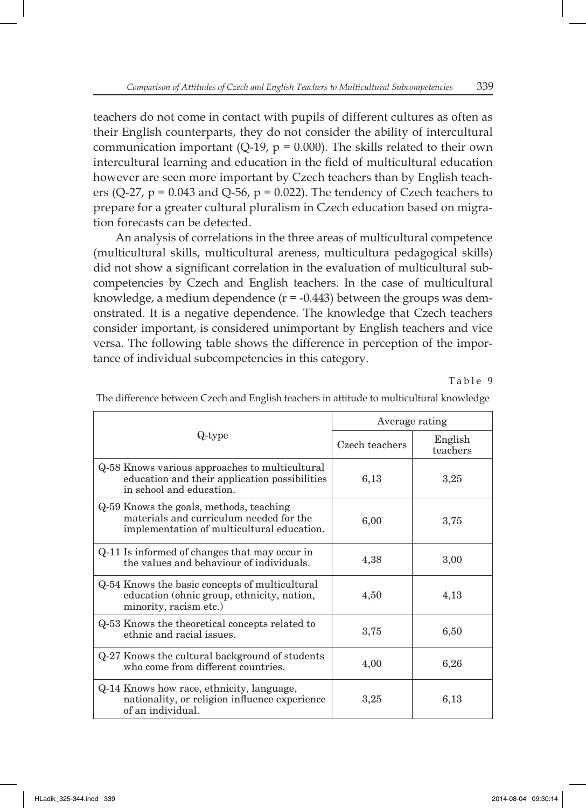teachers do not come in contact with pupils of different cultures as often as their English counterparts, they do not consider the ability of intercultural communication important (Q-19,  $p = 0.000$ ). The skills related to their own intercultural learning and education in the field of multicultural education however are seen more important by Czech teachers than by English teachers (Q-27,  $p = 0.043$  and Q-56,  $p = 0.022$ ). The tendency of Czech teachers to prepare for a greater cultural pluralism in Czech education based on migration forecasts can be detected.

An analysis of correlations in the three areas of multicultural competence (multicultural skills, multicultural areness, multicultura pedagogical skills) did not show a significant correlation in the evaluation of multicultural subcompetencies by Czech and English teachers. In the case of multicultural knowledge, a medium dependence  $(r = -0.443)$  between the groups was demonstrated. It is a negative dependence. The knowledge that Czech teachers consider important, is considered unimportant by English teachers and vice versa. The following table shows the difference in perception of the importance of individual subcompetencies in this category.

Table 9

|                                                                                                                                  | Average rating |                     |
|----------------------------------------------------------------------------------------------------------------------------------|----------------|---------------------|
| Q-type                                                                                                                           | Czech teachers | English<br>teachers |
| Q-58 Knows various approaches to multicultural<br>education and their application possibilities<br>in school and education.      | 6,13           | 3,25                |
| Q-59 Knows the goals, methods, teaching<br>materials and curriculum needed for the<br>implementation of multicultural education. | 6,00           | 3,75                |
| Q-11 Is informed of changes that may occur in<br>the values and behaviour of individuals.                                        | 4,38           | 3,00                |
| Q-54 Knows the basic concepts of multicultural<br>education (ohnic group, ethnicity, nation,<br>minority, racism etc.)           | 4,50           | 4,13                |
| Q-53 Knows the theoretical concepts related to<br>ethnic and racial issues.                                                      | 3,75           | 6.50                |
| Q-27 Knows the cultural background of students<br>who come from different countries.                                             | 4,00           | 6,26                |
| Q-14 Knows how race, ethnicity, language,<br>nationality, or religion influence experience<br>of an individual.                  | 3,25           | 6,13                |

The difference between Czech and English teachers in attitude to multicultural knowledge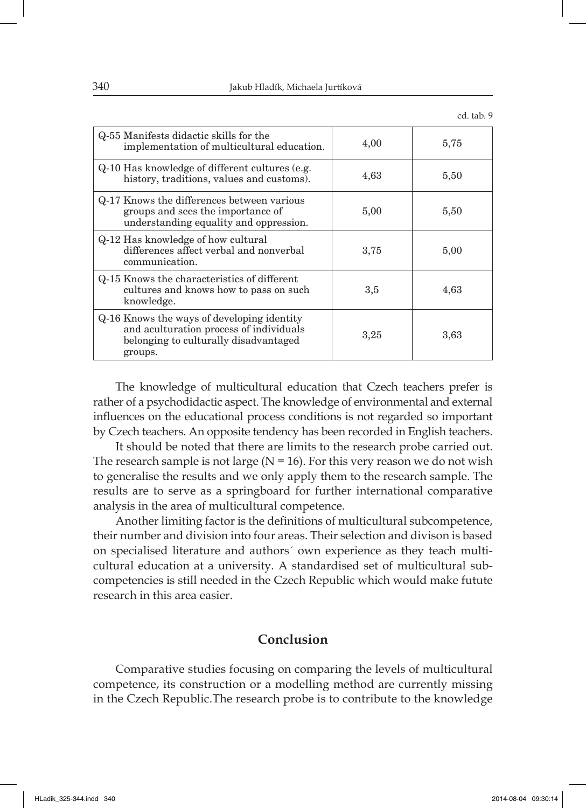| Q-55 Manifests didactic skills for the<br>implementation of multicultural education.                                                      | 4,00    | 5,75 |
|-------------------------------------------------------------------------------------------------------------------------------------------|---------|------|
| Q-10 Has knowledge of different cultures (e.g.<br>history, traditions, values and customs).                                               | 4,63    | 5,50 |
| Q-17 Knows the differences between various<br>groups and sees the importance of<br>understanding equality and oppression.                 | 5,00    | 5,50 |
| Q-12 Has knowledge of how cultural<br>differences affect verbal and nonverbal<br>communication.                                           | 3,75    | 5,00 |
| Q-15 Knows the characteristics of different<br>cultures and knows how to pass on such<br>knowledge.                                       | $3.5\,$ | 4,63 |
| Q-16 Knows the ways of developing identity<br>and aculturation process of individuals<br>belonging to culturally disadvantaged<br>groups. | 3,25    | 3,63 |

The knowledge of multicultural education that Czech teachers prefer is rather of a psychodidactic aspect. The knowledge of environmental and external influences on the educational process conditions is not regarded so important by Czech teachers. An opposite tendency has been recorded in English teachers.

It should be noted that there are limits to the research probe carried out. The research sample is not large ( $N = 16$ ). For this very reason we do not wish to generalise the results and we only apply them to the research sample. The results are to serve as a springboard for further international comparative analysis in the area of multicultural competence.

Another limiting factor is the definitions of multicultural subcompetence, their number and division into four areas. Their selection and divison is based on specialised literature and authors´ own experience as they teach multicultural education at a university. A standardised set of multicultural subcompetencies is still needed in the Czech Republic which would make futute research in this area easier.

# **Conclusion**

Comparative studies focusing on comparing the levels of multicultural competence, its construction or a modelling method are currently missing in the Czech Republic.The research probe is to contribute to the knowledge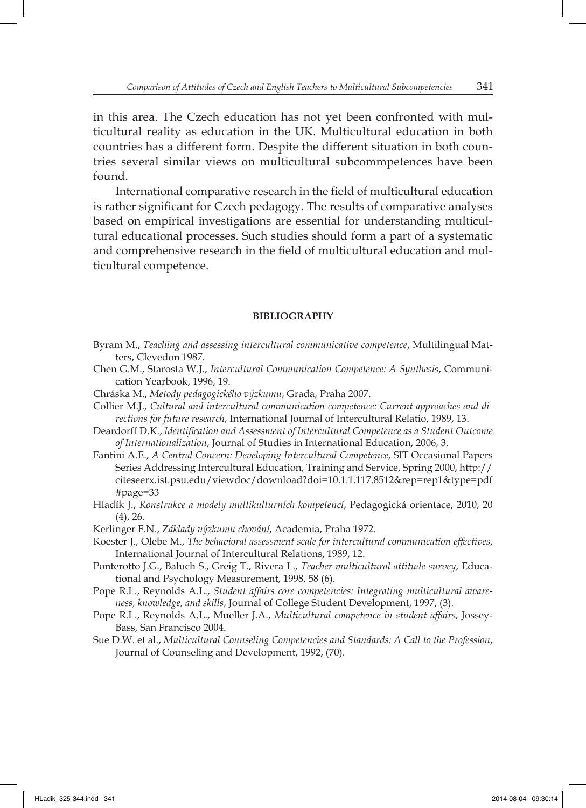in this area. The Czech education has not yet been confronted with multicultural reality as education in the UK. Multicultural education in both countries has a different form. Despite the different situation in both countries several similar views on multicultural subcommpetences have been found.

International comparative research in the field of multicultural education is rather significant for Czech pedagogy. The results of comparative analyses based on empirical investigations are essential for understanding multicultural educational processes. Such studies should form a part of a systematic and comprehensive research in the field of multicultural education and multicultural competence.

#### **BIBLIOGRAPHY**

- Byram M., *Teaching and assessing intercultural communicative competence*, Multilingual Matters, Clevedon 1987.
- Chen G.M., Starosta W.J., *Intercultural Communication Competence: A Synthesis*, Communication Yearbook, 1996, 19.
- Chráska M., *Metody pedagogického výzkumu*, Grada, Praha 2007.
- Collier M.J., *Cultural and intercultural communication competence: Current approaches and directions for future research*, International Journal of Intercultural Relatio, 1989, 13.
- Deardorff D.K., *Identification and Assessment of Intercultural Competence as a Student Outcome of Internationalization*, Journal of Studies in International Education, 2006, 3.
- Fantini A.E., *A Central Concern: Developing Intercultural Competence*, SIT Occasional Papers Series Addressing Intercultural Education, Training and Service, Spring 2000, http:// citeseerx.ist.psu.edu/viewdoc/download?doi=10.1.1.117.8512&rep=rep1&type=pdf #page=33
- Hladík J., *Konstrukce a modely multikulturních kompetencí*, Pedagogická orientace, 2010, 20 (4), 26.
- Kerlinger F.N., Z*áklady výzkumu chování*, Academia, Praha 1972.
- Koester J., Olebe M., *The behavioral assessment scale for intercultural communication effectives*, International Journal of Intercultural Relations, 1989, 12.
- Ponterotto J.G., Baluch S., Greig T., Rivera L., *Teacher multicultural attitude survey*, Educational and Psychology Measurement, 1998, 58 (6).
- Pope R.L., Reynolds A.L., *Student affairs core competencies: Integrating multicultural awareness, knowledge, and skills*, Journal of College Student Development, 1997, (3).
- Pope R.L., Reynolds A.L., Mueller J.A., *Multicultural competence in student affairs*, Jossey-Bass, San Francisco 2004.
- Sue D.W. et al., *Multicultural Counseling Competencies and Standards: A Call to the Profession*, Journal of Counseling and Development, 1992, (70).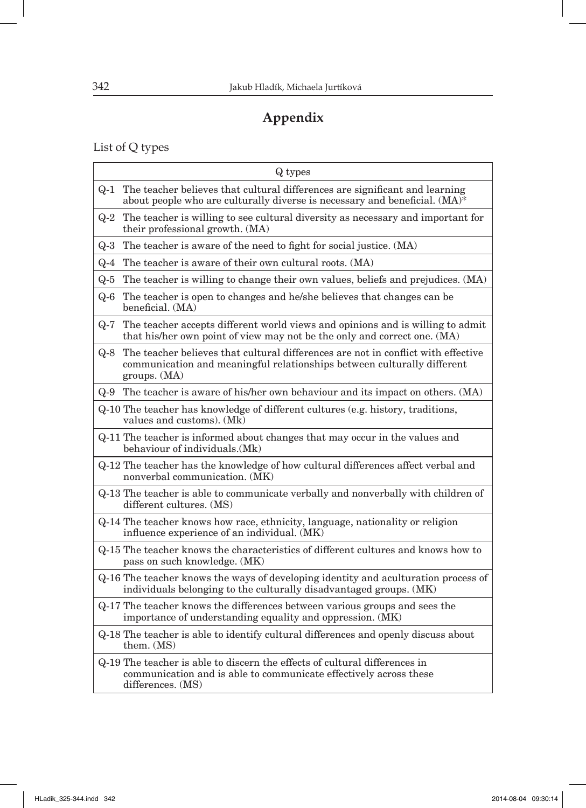# **Appendix**

List of Q types

| Q types                                                                                                                                                                          |
|----------------------------------------------------------------------------------------------------------------------------------------------------------------------------------|
| The teacher believes that cultural differences are significant and learning<br>$Q-1$<br>about people who are culturally diverse is necessary and beneficial. (MA)*               |
| The teacher is willing to see cultural diversity as necessary and important for<br>$Q-2$<br>their professional growth. (MA)                                                      |
| The teacher is aware of the need to fight for social justice. (MA)<br>$Q-3$                                                                                                      |
| The teacher is aware of their own cultural roots. (MA)<br>Q-4                                                                                                                    |
| Q-5 The teacher is willing to change their own values, beliefs and prejudices. (MA)                                                                                              |
| Q-6 The teacher is open to changes and he/she believes that changes can be<br>beneficial. (MA)                                                                                   |
| Q-7 The teacher accepts different world views and opinions and is willing to admit<br>that his/her own point of view may not be the only and correct one. (MA)                   |
| Q-8 The teacher believes that cultural differences are not in conflict with effective<br>communication and meaningful relationships between culturally different<br>groups. (MA) |
| Q-9 The teacher is aware of his/her own behaviour and its impact on others. (MA)                                                                                                 |
| Q-10 The teacher has knowledge of different cultures (e.g. history, traditions,<br>values and customs). (Mk)                                                                     |
| Q-11 The teacher is informed about changes that may occur in the values and<br>behaviour of individuals. (Mk)                                                                    |
| Q-12 The teacher has the knowledge of how cultural differences affect verbal and<br>nonverbal communication. (MK)                                                                |
| Q-13 The teacher is able to communicate verbally and nonverbally with children of<br>different cultures. (MS)                                                                    |
| Q-14 The teacher knows how race, ethnicity, language, nationality or religion<br>influence experience of an individual. (MK)                                                     |
| Q-15 The teacher knows the characteristics of different cultures and knows how to<br>pass on such knowledge. (MK)                                                                |
| Q-16 The teacher knows the ways of developing identity and aculturation process of<br>individuals belonging to the culturally disadvantaged groups. (MK)                         |
| Q-17 The teacher knows the differences between various groups and sees the<br>importance of understanding equality and oppression. (MK)                                          |
| Q-18 The teacher is able to identify cultural differences and openly discuss about<br>them. (MS)                                                                                 |
| Q-19 The teacher is able to discern the effects of cultural differences in<br>communication and is able to communicate effectively across these<br>differences. (MS)             |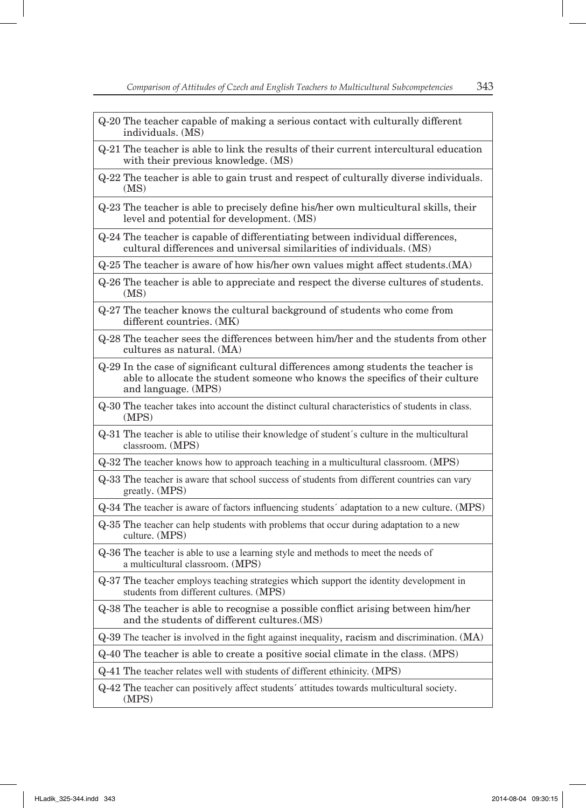- Q-20 The teacher capable of making a serious contact with culturally different individuals. (MS)
- Q-21 The teacher is able to link the results of their current intercultural education with their previous knowledge. (MS)
- Q-22 The teacher is able to gain trust and respect of culturally diverse individuals. (MS)
- Q-23 The teacher is able to precisely define his/her own multicultural skills, their level and potential for development. (MS)
- Q-24 The teacher is capable of differentiating between individual differences, cultural differences and universal similarities of individuals. (MS)

Q-25 The teacher is aware of how his/her own values might affect students.(MA)

- Q-26 The teacher is able to appreciate and respect the diverse cultures of students. (MS)
- Q-27 The teacher knows the cultural background of students who come from different countries. (MK)
- Q-28 The teacher sees the differences between him/her and the students from other cultures as natural. (MA)
- Q-29 In the case of significant cultural differences among students the teacher is able to allocate the student someone who knows the specifics of their culture and language. (MPS)
- Q-30 The teacher takes into account the distinct cultural characteristics of students in class. (MPS)
- Q-31 The teacher is able to utilise their knowledge of student´s culture in the multicultural classroom. (MPS)
- Q-32 The teacher knows how to approach teaching in a multicultural classroom. (MPS)
- Q-33 The teacher is aware that school success of students from different countries can vary greatly. (MPS)

Q-34 The teacher is aware of factors infl uencing students´ adaptation to a new culture. (MPS)

- Q-35 The teacher can help students with problems that occur during adaptation to a new culture. (MPS)
- Q-36 The teacher is able to use a learning style and methods to meet the needs of a multicultural classroom. (MPS)
- Q-37 The teacher employs teaching strategies which support the identity development in students from different cultures. (MPS)
- Q-38 The teacher is able to recognise a possible conflict arising between him/her and the students of different cultures.(MS)

Q-39 The teacher is involved in the fight against inequality, racism and discrimination. (MA)

Q-40 The teacher is able to create a positive social climate in the class. (MPS)

Q-41 The teacher relates well with students of different ethinicity. (MPS)

Q-42 The teacher can positively affect students´ attitudes towards multicultural society. (MPS)